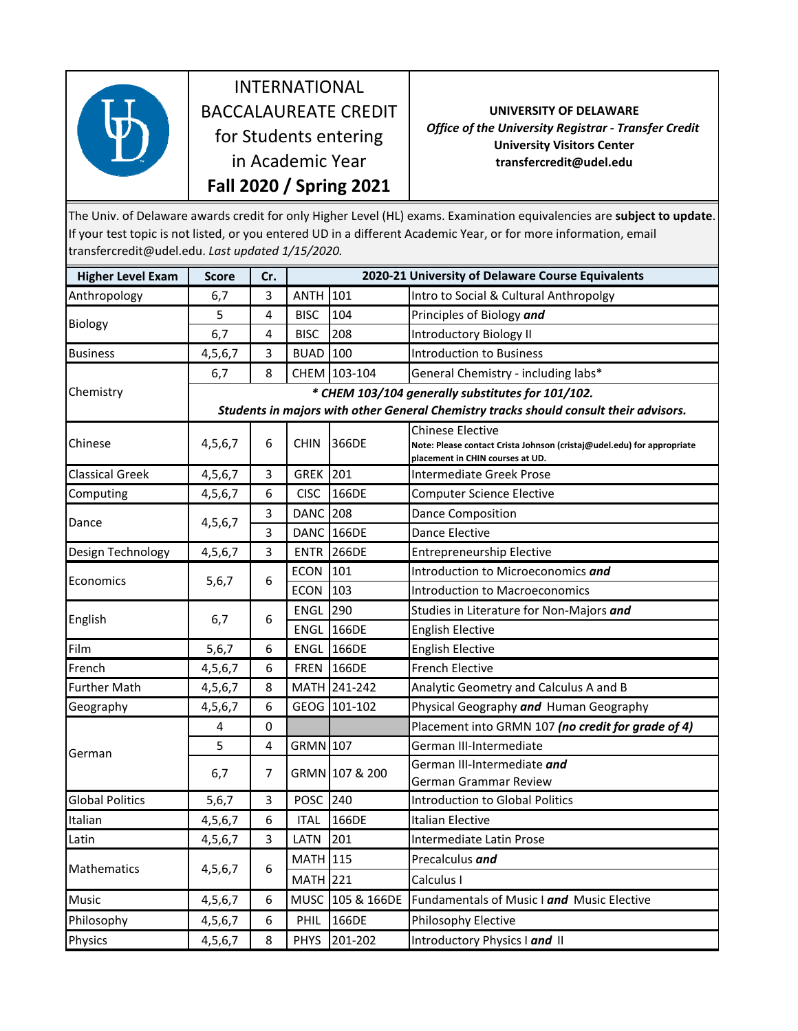

INTERNATIONAL BACCALAUREATE CREDIT for Students entering in Academic Year **Fall 2020 / Spring 2021**

**UNIVERSITY OF DELAWARE** *Office of the University Registrar ‐ Transfer Credit* **University Visitors Center transfercredit@udel.edu**

The Univ. of Delaware awards credit for only Higher Level (HL) exams. Examination equivalencies are **subject to update**. If your test topic is not listed, or you entered UD in a different Academic Year, or for more information, email transfercredit@udel.edu. *Last updated 1/15/2020.* 

| <b>Higher Level Exam</b> | <b>Score</b>                                                                          | Cr. | 2020-21 University of Delaware Course Equivalents |                   |                                                                                                                                       |  |  |  |
|--------------------------|---------------------------------------------------------------------------------------|-----|---------------------------------------------------|-------------------|---------------------------------------------------------------------------------------------------------------------------------------|--|--|--|
| Anthropology             | 6,7                                                                                   | 3   | <b>ANTH</b>                                       | 101               | Intro to Social & Cultural Anthropolgy                                                                                                |  |  |  |
| Biology                  | 5                                                                                     | 4   | <b>BISC</b>                                       | 104               | Principles of Biology and                                                                                                             |  |  |  |
|                          | 6,7                                                                                   | 4   | <b>BISC</b>                                       | 208               | <b>Introductory Biology II</b>                                                                                                        |  |  |  |
| <b>Business</b>          | 4,5,6,7                                                                               | 3   | <b>BUAD</b>                                       | 100               | <b>Introduction to Business</b>                                                                                                       |  |  |  |
| Chemistry                | 6,7                                                                                   | 8   |                                                   | CHEM 103-104      | General Chemistry - including labs*                                                                                                   |  |  |  |
|                          | * CHEM 103/104 generally substitutes for 101/102.                                     |     |                                                   |                   |                                                                                                                                       |  |  |  |
|                          | Students in majors with other General Chemistry tracks should consult their advisors. |     |                                                   |                   |                                                                                                                                       |  |  |  |
| Chinese                  | 4,5,6,7                                                                               | 6   | <b>CHIN</b>                                       | 366DE             | <b>Chinese Elective</b><br>Note: Please contact Crista Johnson (cristaj@udel.edu) for appropriate<br>placement in CHIN courses at UD. |  |  |  |
| <b>Classical Greek</b>   | 4,5,6,7                                                                               | 3   | <b>GREK 201</b>                                   |                   | Intermediate Greek Prose                                                                                                              |  |  |  |
| Computing                | 4,5,6,7                                                                               | 6   | <b>CISC</b>                                       | 166DE             | <b>Computer Science Elective</b>                                                                                                      |  |  |  |
| Dance                    | 4,5,6,7                                                                               | 3   | <b>DANC</b>                                       | 208               | <b>Dance Composition</b>                                                                                                              |  |  |  |
|                          |                                                                                       | 3   |                                                   | <b>DANC 166DE</b> | Dance Elective                                                                                                                        |  |  |  |
| Design Technology        | 4,5,6,7                                                                               | 3   | <b>ENTR</b>                                       | 266DE             | <b>Entrepreneurship Elective</b>                                                                                                      |  |  |  |
| Economics                | 5,6,7                                                                                 | 6   | <b>ECON</b>                                       | 101               | Introduction to Microeconomics and                                                                                                    |  |  |  |
|                          |                                                                                       |     | <b>ECON</b>                                       | 103               | <b>Introduction to Macroeconomics</b>                                                                                                 |  |  |  |
| English                  | 6,7                                                                                   | 6   | <b>ENGL</b>                                       | 290               | Studies in Literature for Non-Majors and                                                                                              |  |  |  |
|                          |                                                                                       |     | <b>ENGL</b>                                       | 166DE             | <b>English Elective</b>                                                                                                               |  |  |  |
| Film                     | 5,6,7                                                                                 | 6   | <b>ENGL</b>                                       | 166DE             | <b>English Elective</b>                                                                                                               |  |  |  |
| French                   | 4,5,6,7                                                                               | 6   | <b>FREN</b>                                       | 166DE             | <b>French Elective</b>                                                                                                                |  |  |  |
| <b>Further Math</b>      | 4,5,6,7                                                                               | 8   |                                                   | MATH 241-242      | Analytic Geometry and Calculus A and B                                                                                                |  |  |  |
| Geography                | 4,5,6,7                                                                               | 6   |                                                   | GEOG 101-102      | Physical Geography and Human Geography                                                                                                |  |  |  |
| German                   | 4                                                                                     | 0   |                                                   |                   | Placement into GRMN 107 (no credit for grade of 4)                                                                                    |  |  |  |
|                          | 5                                                                                     | 4   | GRMN 107                                          |                   | German III-Intermediate                                                                                                               |  |  |  |
|                          | 6,7                                                                                   | 7   |                                                   | GRMN 107 & 200    | German III-Intermediate <i>and</i>                                                                                                    |  |  |  |
|                          |                                                                                       |     |                                                   |                   | German Grammar Review                                                                                                                 |  |  |  |
| <b>Global Politics</b>   | 5,6,7                                                                                 | 3   | POSC                                              | 240               | <b>Introduction to Global Politics</b>                                                                                                |  |  |  |
| Italian                  | 4,5,6,7                                                                               | 6   | <b>ITAL</b>                                       | 166DE             | Italian Elective                                                                                                                      |  |  |  |
| Latin                    | 4,5,6,7                                                                               | 3   | LATN                                              | 201               | Intermediate Latin Prose                                                                                                              |  |  |  |
| Mathematics              | 4,5,6,7                                                                               | 6   | <b>MATH</b> 115                                   |                   | Precalculus and                                                                                                                       |  |  |  |
|                          |                                                                                       |     | <b>MATH</b> 221                                   |                   | Calculus I                                                                                                                            |  |  |  |
| <b>Music</b>             | 4,5,6,7                                                                               | 6   |                                                   | MUSC 105 & 166DE  | Fundamentals of Music I and Music Elective                                                                                            |  |  |  |
| Philosophy               | 4,5,6,7                                                                               | 6   | <b>PHIL</b>                                       | 166DE             | Philosophy Elective                                                                                                                   |  |  |  |
| Physics                  | 4,5,6,7                                                                               | 8   | <b>PHYS</b>                                       | 201-202           | Introductory Physics I and II                                                                                                         |  |  |  |